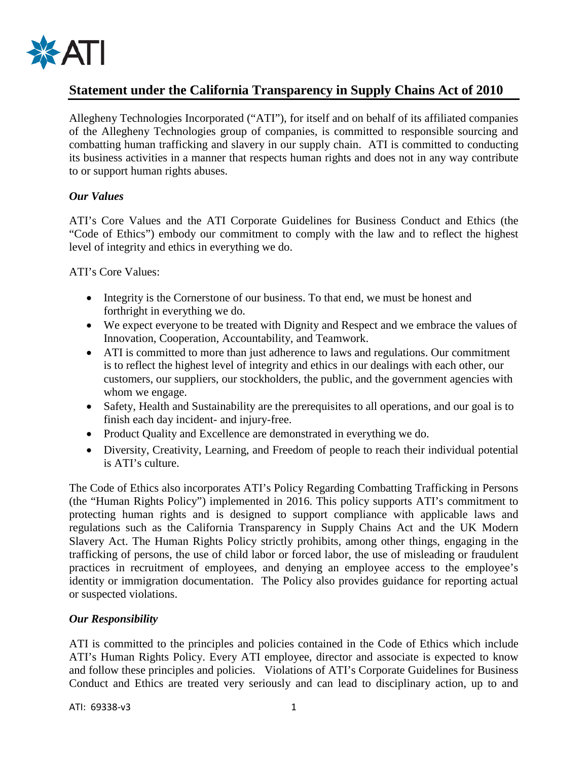

# **Statement under the California Transparency in Supply Chains Act of 2010**

Allegheny Technologies Incorporated ("ATI"), for itself and on behalf of its affiliated companies of the Allegheny Technologies group of companies, is committed to responsible sourcing and combatting human trafficking and slavery in our supply chain. ATI is committed to conducting its business activities in a manner that respects human rights and does not in any way contribute to or support human rights abuses.

## *Our Values*

ATI's Core Values and the ATI Corporate Guidelines for Business Conduct and Ethics (the "Code of Ethics") embody our commitment to comply with the law and to reflect the highest level of integrity and ethics in everything we do.

## ATI's Core Values:

- Integrity is the Cornerstone of our business. To that end, we must be honest and forthright in everything we do.
- We expect everyone to be treated with Dignity and Respect and we embrace the values of Innovation, Cooperation, Accountability, and Teamwork.
- ATI is committed to more than just adherence to laws and regulations. Our commitment is to reflect the highest level of integrity and ethics in our dealings with each other, our customers, our suppliers, our stockholders, the public, and the government agencies with whom we engage.
- Safety, Health and Sustainability are the prerequisites to all operations, and our goal is to finish each day incident- and injury-free.
- Product Quality and Excellence are demonstrated in everything we do.
- Diversity, Creativity, Learning, and Freedom of people to reach their individual potential is ATI's culture.

The Code of Ethics also incorporates ATI's Policy Regarding Combatting Trafficking in Persons (the "Human Rights Policy") implemented in 2016. This policy supports ATI's commitment to protecting human rights and is designed to support compliance with applicable laws and regulations such as the California Transparency in Supply Chains Act and the UK Modern Slavery Act. The Human Rights Policy strictly prohibits, among other things, engaging in the trafficking of persons, the use of child labor or forced labor, the use of misleading or fraudulent practices in recruitment of employees, and denying an employee access to the employee's identity or immigration documentation. The Policy also provides guidance for reporting actual or suspected violations.

## *Our Responsibility*

ATI is committed to the principles and policies contained in the Code of Ethics which include ATI's Human Rights Policy. Every ATI employee, director and associate is expected to know and follow these principles and policies. Violations of ATI's Corporate Guidelines for Business Conduct and Ethics are treated very seriously and can lead to disciplinary action, up to and